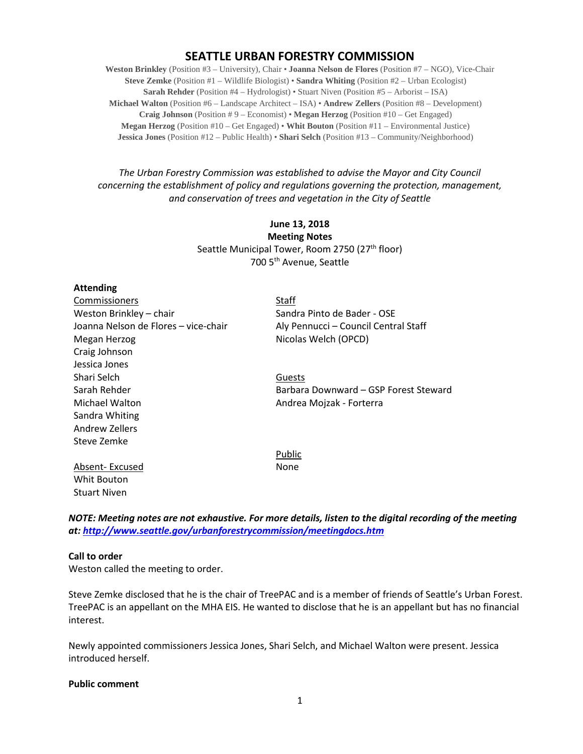# **SEATTLE URBAN FORESTRY COMMISSION**

**Weston Brinkley** (Position #3 – University), Chair • **Joanna Nelson de Flores** (Position #7 – NGO), Vice-Chair **Steve Zemke** (Position #1 – Wildlife Biologist) • **Sandra Whiting** (Position #2 – Urban Ecologist) **Sarah Rehder** (Position #4 – Hydrologist) • Stuart Niven (Position #5 – Arborist – ISA) **Michael Walton** (Position #6 – Landscape Architect – ISA) • **Andrew Zellers** (Position #8 – Development) **Craig Johnson** (Position # 9 – Economist) • **Megan Herzog** (Position #10 – Get Engaged) **Megan Herzog** (Position #10 – Get Engaged) • **Whit Bouton** (Position #11 – Environmental Justice) **Jessica Jones** (Position #12 – Public Health) • **Shari Selch** (Position #13 – Community/Neighborhood)

# *The Urban Forestry Commission was established to advise the Mayor and City Council concerning the establishment of policy and regulations governing the protection, management, and conservation of trees and vegetation in the City of Seattle*

# **June 13, 2018 Meeting Notes** Seattle Municipal Tower, Room 2750 (27<sup>th</sup> floor) 700 5th Avenue, Seattle

### **Attending**

| Commissioners                        | Staff                                 |
|--------------------------------------|---------------------------------------|
| Weston Brinkley - chair              | Sandra Pinto de Bader - OSE           |
| Joanna Nelson de Flores - vice-chair | Aly Pennucci - Council Central Staff  |
| Megan Herzog                         | Nicolas Welch (OPCD)                  |
| Craig Johnson                        |                                       |
| Jessica Jones                        |                                       |
| Shari Selch                          | Guests                                |
| Sarah Rehder                         | Barbara Downward – GSP Forest Steward |
| Michael Walton                       | Andrea Mojzak - Forterra              |
| Sandra Whiting                       |                                       |
| Andrew Zellers                       |                                       |
| Steve Zemke                          |                                       |
|                                      | Public                                |
| Absent-Excused                       | None                                  |
| Whit Bouton                          |                                       |
| <b>Stuart Niven</b>                  |                                       |

*NOTE: Meeting notes are not exhaustive. For more details, listen to the digital recording of the meeting at:<http://www.seattle.gov/urbanforestrycommission/meetingdocs.htm>*

#### **Call to order**

Weston called the meeting to order.

Steve Zemke disclosed that he is the chair of TreePAC and is a member of friends of Seattle's Urban Forest. TreePAC is an appellant on the MHA EIS. He wanted to disclose that he is an appellant but has no financial interest.

Newly appointed commissioners Jessica Jones, Shari Selch, and Michael Walton were present. Jessica introduced herself.

#### **Public comment**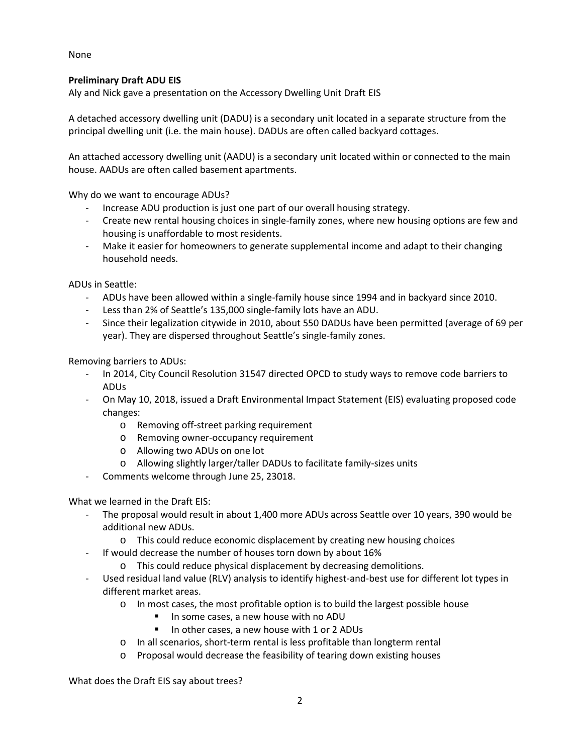None

# **Preliminary Draft ADU EIS**

Aly and Nick gave a presentation on the Accessory Dwelling Unit Draft EIS

A detached accessory dwelling unit (DADU) is a secondary unit located in a separate structure from the principal dwelling unit (i.e. the main house). DADUs are often called backyard cottages.

An attached accessory dwelling unit (AADU) is a secondary unit located within or connected to the main house. AADUs are often called basement apartments.

Why do we want to encourage ADUs?

- Increase ADU production is just one part of our overall housing strategy.
- Create new rental housing choices in single-family zones, where new housing options are few and housing is unaffordable to most residents.
- Make it easier for homeowners to generate supplemental income and adapt to their changing household needs.

ADUs in Seattle:

- ADUs have been allowed within a single-family house since 1994 and in backyard since 2010.
- Less than 2% of Seattle's 135,000 single-family lots have an ADU.
- Since their legalization citywide in 2010, about 550 DADUs have been permitted (average of 69 per year). They are dispersed throughout Seattle's single-family zones.

Removing barriers to ADUs:

- In 2014, City Council Resolution 31547 directed OPCD to study ways to remove code barriers to ADUs
- On May 10, 2018, issued a Draft Environmental Impact Statement (EIS) evaluating proposed code changes:
	- o Removing off-street parking requirement
	- o Removing owner-occupancy requirement
	- o Allowing two ADUs on one lot
	- o Allowing slightly larger/taller DADUs to facilitate family-sizes units
- Comments welcome through June 25, 23018.

What we learned in the Draft EIS:

- The proposal would result in about 1,400 more ADUs across Seattle over 10 years, 390 would be additional new ADUs.
	- o This could reduce economic displacement by creating new housing choices
- If would decrease the number of houses torn down by about 16%
	- o This could reduce physical displacement by decreasing demolitions.
- Used residual land value (RLV) analysis to identify highest-and-best use for different lot types in different market areas.
	- o In most cases, the most profitable option is to build the largest possible house
		- In some cases, a new house with no ADU
		- In other cases, a new house with 1 or 2 ADUs
	- o In all scenarios, short-term rental is less profitable than longterm rental
	- o Proposal would decrease the feasibility of tearing down existing houses

What does the Draft EIS say about trees?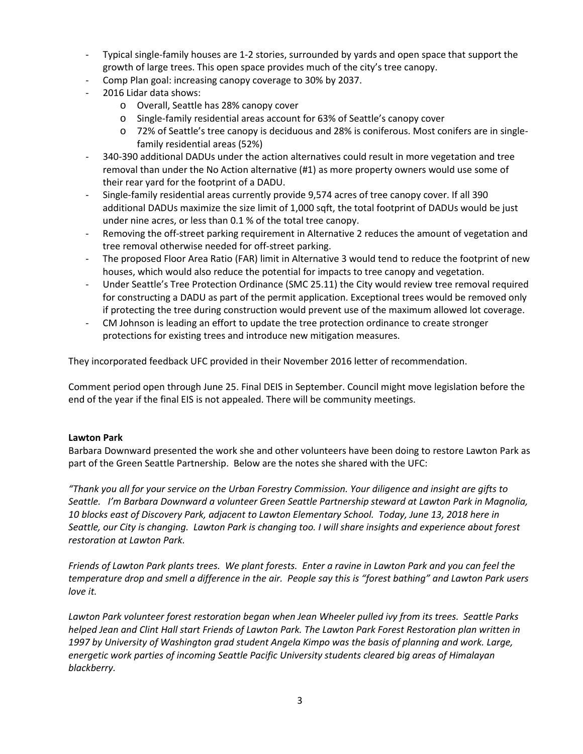- Typical single-family houses are 1-2 stories, surrounded by yards and open space that support the growth of large trees. This open space provides much of the city's tree canopy.
- Comp Plan goal: increasing canopy coverage to 30% by 2037.
- 2016 Lidar data shows:
	- o Overall, Seattle has 28% canopy cover
	- o Single-family residential areas account for 63% of Seattle's canopy cover
	- o 72% of Seattle's tree canopy is deciduous and 28% is coniferous. Most conifers are in singlefamily residential areas (52%)
- 340-390 additional DADUs under the action alternatives could result in more vegetation and tree removal than under the No Action alternative (#1) as more property owners would use some of their rear yard for the footprint of a DADU.
- Single-family residential areas currently provide 9,574 acres of tree canopy cover. If all 390 additional DADUs maximize the size limit of 1,000 sqft, the total footprint of DADUs would be just under nine acres, or less than 0.1 % of the total tree canopy.
- Removing the off-street parking requirement in Alternative 2 reduces the amount of vegetation and tree removal otherwise needed for off-street parking.
- The proposed Floor Area Ratio (FAR) limit in Alternative 3 would tend to reduce the footprint of new houses, which would also reduce the potential for impacts to tree canopy and vegetation.
- Under Seattle's Tree Protection Ordinance (SMC 25.11) the City would review tree removal required for constructing a DADU as part of the permit application. Exceptional trees would be removed only if protecting the tree during construction would prevent use of the maximum allowed lot coverage.
- CM Johnson is leading an effort to update the tree protection ordinance to create stronger protections for existing trees and introduce new mitigation measures.

They incorporated feedback UFC provided in their November 2016 letter of recommendation.

Comment period open through June 25. Final DEIS in September. Council might move legislation before the end of the year if the final EIS is not appealed. There will be community meetings.

### **Lawton Park**

Barbara Downward presented the work she and other volunteers have been doing to restore Lawton Park as part of the Green Seattle Partnership. Below are the notes she shared with the UFC:

*"Thank you all for your service on the Urban Forestry Commission. Your diligence and insight are gifts to Seattle. I'm Barbara Downward a volunteer Green Seattle Partnership steward at Lawton Park in Magnolia, 10 blocks east of Discovery Park, adjacent to Lawton Elementary School. Today, June 13, 2018 here in Seattle, our City is changing. Lawton Park is changing too. I will share insights and experience about forest restoration at Lawton Park.*

*Friends of Lawton Park plants trees. We plant forests. Enter a ravine in Lawton Park and you can feel the temperature drop and smell a difference in the air. People say this is "forest bathing" and Lawton Park users love it.* 

*Lawton Park volunteer forest restoration began when Jean Wheeler pulled ivy from its trees. Seattle Parks helped Jean and Clint Hall start Friends of Lawton Park. The Lawton Park Forest Restoration plan written in 1997 by University of Washington grad student Angela Kimpo was the basis of planning and work. Large, energetic work parties of incoming Seattle Pacific University students cleared big areas of Himalayan blackberry.*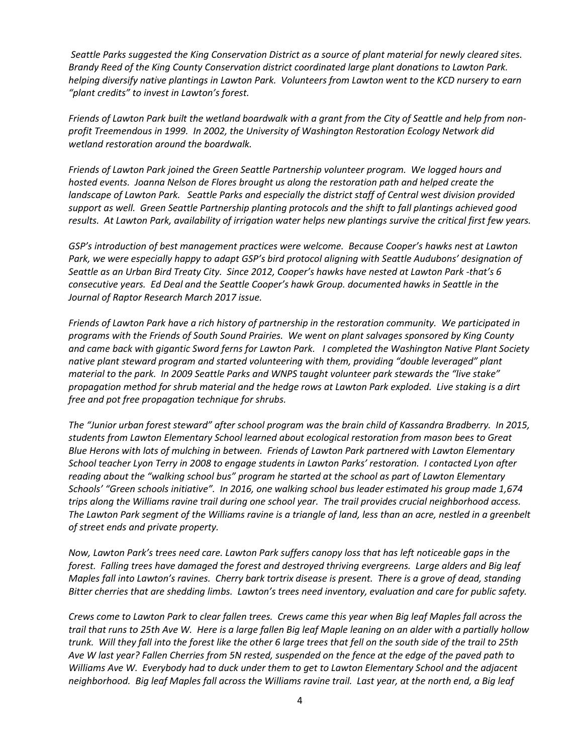*Seattle Parks suggested the King Conservation District as a source of plant material for newly cleared sites. Brandy Reed of the King County Conservation district coordinated large plant donations to Lawton Park. helping diversify native plantings in Lawton Park. Volunteers from Lawton went to the KCD nursery to earn "plant credits" to invest in Lawton's forest.*

*Friends of Lawton Park built the wetland boardwalk with a grant from the City of Seattle and help from nonprofit Treemendous in 1999. In 2002, the University of Washington Restoration Ecology Network did wetland restoration around the boardwalk.* 

*Friends of Lawton Park joined the Green Seattle Partnership volunteer program. We logged hours and hosted events. Joanna Nelson de Flores brought us along the restoration path and helped create the landscape of Lawton Park. Seattle Parks and especially the district staff of Central west division provided support as well. Green Seattle Partnership planting protocols and the shift to fall plantings achieved good results. At Lawton Park, availability of irrigation water helps new plantings survive the critical first few years.* 

*GSP's introduction of best management practices were welcome. Because Cooper's hawks nest at Lawton Park, we were especially happy to adapt GSP's bird protocol aligning with Seattle Audubons' designation of Seattle as an Urban Bird Treaty City. Since 2012, Cooper's hawks have nested at Lawton Park -that's 6 consecutive years. Ed Deal and the Seattle Cooper's hawk Group. documented hawks in Seattle in the Journal of Raptor Research March 2017 issue.*

*Friends of Lawton Park have a rich history of partnership in the restoration community. We participated in programs with the Friends of South Sound Prairies. We went on plant salvages sponsored by King County and came back with gigantic Sword ferns for Lawton Park. I completed the Washington Native Plant Society native plant steward program and started volunteering with them, providing "double leveraged" plant material to the park. In 2009 Seattle Parks and WNPS taught volunteer park stewards the "live stake" propagation method for shrub material and the hedge rows at Lawton Park exploded. Live staking is a dirt free and pot free propagation technique for shrubs.*

*The "Junior urban forest steward" after school program was the brain child of Kassandra Bradberry. In 2015, students from Lawton Elementary School learned about ecological restoration from mason bees to Great Blue Herons with lots of mulching in between. Friends of Lawton Park partnered with Lawton Elementary School teacher Lyon Terry in 2008 to engage students in Lawton Parks' restoration. I contacted Lyon after reading about the "walking school bus" program he started at the school as part of Lawton Elementary Schools' "Green schools initiative". In 2016, one walking school bus leader estimated his group made 1,674 trips along the Williams ravine trail during one school year. The trail provides crucial neighborhood access. The Lawton Park segment of the Williams ravine is a triangle of land, less than an acre, nestled in a greenbelt of street ends and private property.*

*Now, Lawton Park's trees need care. Lawton Park suffers canopy loss that has left noticeable gaps in the forest. Falling trees have damaged the forest and destroyed thriving evergreens. Large alders and Big leaf Maples fall into Lawton's ravines. Cherry bark tortrix disease is present. There is a grove of dead, standing Bitter cherries that are shedding limbs. Lawton's trees need inventory, evaluation and care for public safety.*

*Crews come to Lawton Park to clear fallen trees. Crews came this year when Big leaf Maples fall across the trail that runs to 25th Ave W. Here is a large fallen Big leaf Maple leaning on an alder with a partially hollow trunk. Will they fall into the forest like the other 6 large trees that fell on the south side of the trail to 25th Ave W last year? Fallen Cherries from 5N rested, suspended on the fence at the edge of the paved path to Williams Ave W. Everybody had to duck under them to get to Lawton Elementary School and the adjacent neighborhood. Big leaf Maples fall across the Williams ravine trail. Last year, at the north end, a Big leaf*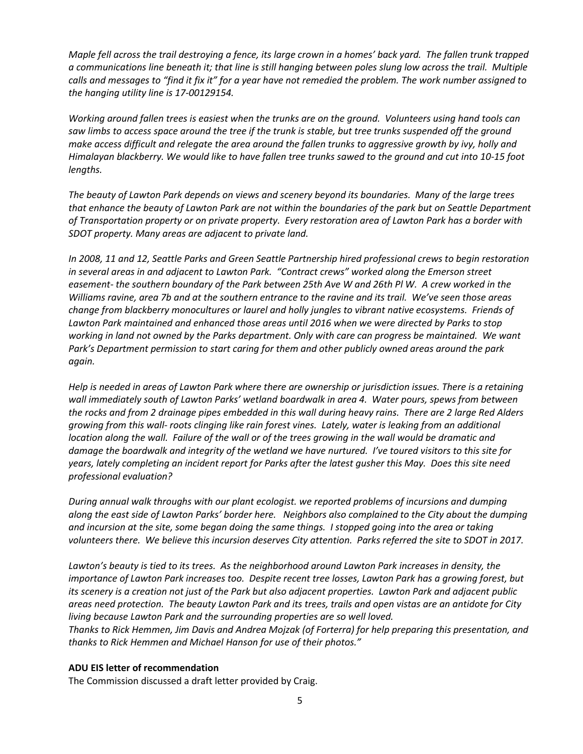*Maple fell across the trail destroying a fence, its large crown in a homes' back yard. The fallen trunk trapped a communications line beneath it; that line is still hanging between poles slung low across the trail. Multiple calls and messages to "find it fix it" for a year have not remedied the problem. The work number assigned to the hanging utility line is 17-00129154.* 

*Working around fallen trees is easiest when the trunks are on the ground. Volunteers using hand tools can saw limbs to access space around the tree if the trunk is stable, but tree trunks suspended off the ground make access difficult and relegate the area around the fallen trunks to aggressive growth by ivy, holly and Himalayan blackberry. We would like to have fallen tree trunks sawed to the ground and cut into 10-15 foot lengths.*

*The beauty of Lawton Park depends on views and scenery beyond its boundaries. Many of the large trees that enhance the beauty of Lawton Park are not within the boundaries of the park but on Seattle Department of Transportation property or on private property. Every restoration area of Lawton Park has a border with SDOT property. Many areas are adjacent to private land.* 

*In 2008, 11 and 12, Seattle Parks and Green Seattle Partnership hired professional crews to begin restoration in several areas in and adjacent to Lawton Park. "Contract crews" worked along the Emerson street easement- the southern boundary of the Park between 25th Ave W and 26th Pl W. A crew worked in the Williams ravine, area 7b and at the southern entrance to the ravine and its trail. We've seen those areas change from blackberry monocultures or laurel and holly jungles to vibrant native ecosystems. Friends of Lawton Park maintained and enhanced those areas until 2016 when we were directed by Parks to stop working in land not owned by the Parks department. Only with care can progress be maintained. We want Park's Department permission to start caring for them and other publicly owned areas around the park again.*

*Help is needed in areas of Lawton Park where there are ownership or jurisdiction issues. There is a retaining wall immediately south of Lawton Parks' wetland boardwalk in area 4. Water pours, spews from between the rocks and from 2 drainage pipes embedded in this wall during heavy rains. There are 2 large Red Alders growing from this wall- roots clinging like rain forest vines. Lately, water is leaking from an additional location along the wall. Failure of the wall or of the trees growing in the wall would be dramatic and damage the boardwalk and integrity of the wetland we have nurtured. I've toured visitors to this site for years, lately completing an incident report for Parks after the latest gusher this May. Does this site need professional evaluation?*

*During annual walk throughs with our plant ecologist. we reported problems of incursions and dumping along the east side of Lawton Parks' border here. Neighbors also complained to the City about the dumping and incursion at the site, some began doing the same things. I stopped going into the area or taking volunteers there. We believe this incursion deserves City attention. Parks referred the site to SDOT in 2017.*

*Lawton's beauty is tied to its trees. As the neighborhood around Lawton Park increases in density, the importance of Lawton Park increases too. Despite recent tree losses, Lawton Park has a growing forest, but its scenery is a creation not just of the Park but also adjacent properties. Lawton Park and adjacent public areas need protection. The beauty Lawton Park and its trees, trails and open vistas are an antidote for City living because Lawton Park and the surrounding properties are so well loved.* 

*Thanks to Rick Hemmen, Jim Davis and Andrea Mojzak (of Forterra) for help preparing this presentation, and thanks to Rick Hemmen and Michael Hanson for use of their photos."*

### **ADU EIS letter of recommendation**

The Commission discussed a draft letter provided by Craig.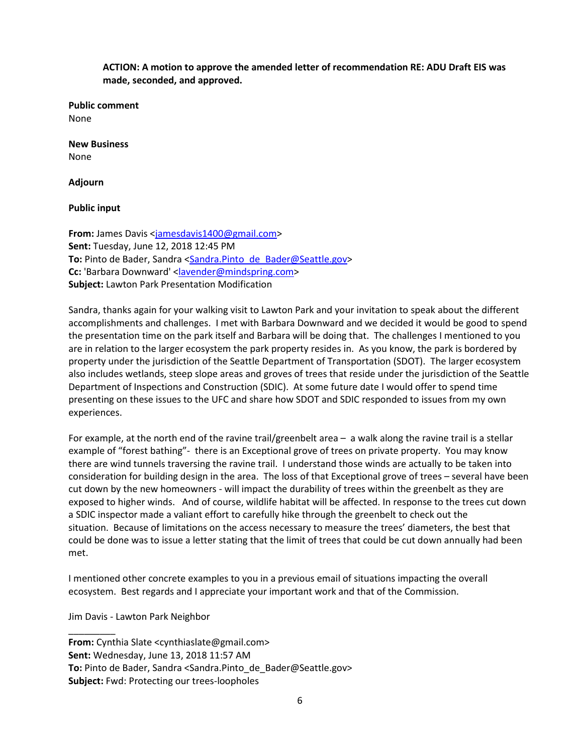**ACTION: A motion to approve the amended letter of recommendation RE: ADU Draft EIS was made, seconded, and approved.**

**Public comment** None

**New Business** None

**Adjourn**

**Public input**

**From:** James Davis [<jamesdavis1400@gmail.com>](mailto:jamesdavis1400@gmail.com) **Sent:** Tuesday, June 12, 2018 12:45 PM **To:** Pinto de Bader, Sandra <Sandra.Pinto de Bader@Seattle.gov> **Cc:** 'Barbara Downward' [<lavender@mindspring.com>](mailto:lavender@mindspring.com) **Subject:** Lawton Park Presentation Modification

Sandra, thanks again for your walking visit to Lawton Park and your invitation to speak about the different accomplishments and challenges. I met with Barbara Downward and we decided it would be good to spend the presentation time on the park itself and Barbara will be doing that. The challenges I mentioned to you are in relation to the larger ecosystem the park property resides in. As you know, the park is bordered by property under the jurisdiction of the Seattle Department of Transportation (SDOT). The larger ecosystem also includes wetlands, steep slope areas and groves of trees that reside under the jurisdiction of the Seattle Department of Inspections and Construction (SDIC). At some future date I would offer to spend time presenting on these issues to the UFC and share how SDOT and SDIC responded to issues from my own experiences.

For example, at the north end of the ravine trail/greenbelt area – a walk along the ravine trail is a stellar example of "forest bathing"- there is an Exceptional grove of trees on private property. You may know there are wind tunnels traversing the ravine trail. I understand those winds are actually to be taken into consideration for building design in the area. The loss of that Exceptional grove of trees – several have been cut down by the new homeowners - will impact the durability of trees within the greenbelt as they are exposed to higher winds. And of course, wildlife habitat will be affected. In response to the trees cut down a SDIC inspector made a valiant effort to carefully hike through the greenbelt to check out the situation. Because of limitations on the access necessary to measure the trees' diameters, the best that could be done was to issue a letter stating that the limit of trees that could be cut down annually had been met.

I mentioned other concrete examples to you in a previous email of situations impacting the overall ecosystem. Best regards and I appreciate your important work and that of the Commission.

Jim Davis - Lawton Park Neighbor

\_\_\_\_\_\_\_\_\_

**From:** Cynthia Slate <cynthiaslate@gmail.com> **Sent:** Wednesday, June 13, 2018 11:57 AM **To:** Pinto de Bader, Sandra <Sandra.Pinto de Bader@Seattle.gov> **Subject:** Fwd: Protecting our trees-loopholes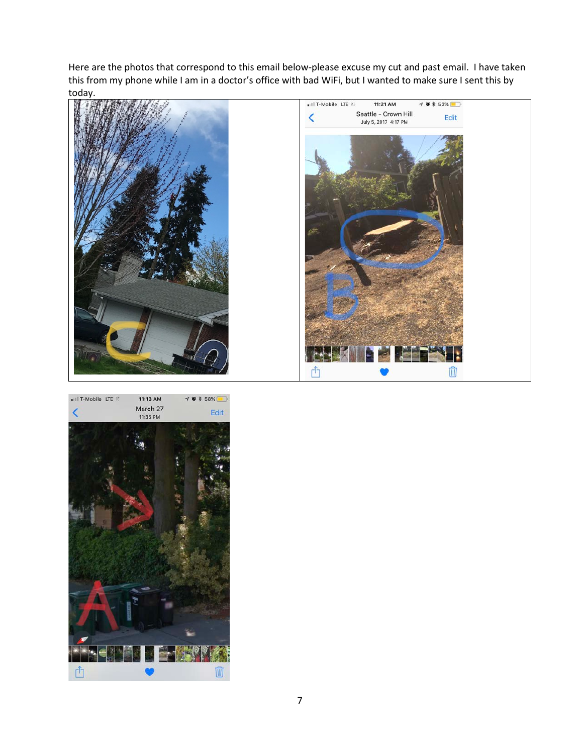Here are the photos that correspond to this email below-please excuse my cut and past email. I have taken this from my phone while I am in a doctor's office with bad WiFi, but I wanted to make sure I sent this by today.